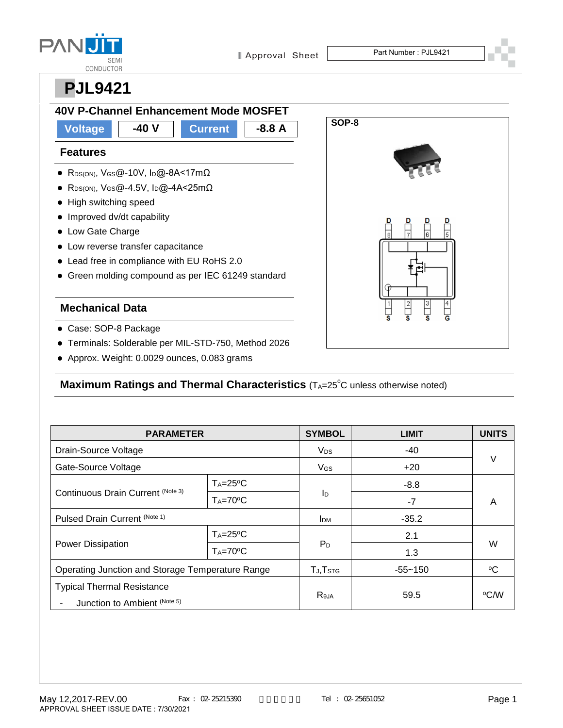| <b>SEMI</b>      |
|------------------|
| <b>CONDUCTOR</b> |



### **Features**

- R<sub>DS(ON)</sub>, V<sub>GS</sub>@-10V, I<sub>D</sub>@-8A<17mΩ
- RDS(ON),  $V_{GS}$ @-4.5V,  $I_D$ @-4A<25m $\Omega$
- High switching speed
- Improved dv/dt capability
- Low Gate Charge
- Low reverse transfer capacitance
- Lead free in compliance with EU RoHS 2.0
- Green molding compound as per IEC 61249 standard

#### **Mechanical Data**

- Case: SOP-8 Package
- Terminals: Solderable per MIL-STD-750, Method 2026
- Approx. Weight: 0.0029 ounces, 0.083 grams

### Maximum Ratings and Thermal Characteristics (TA=25<sup>°</sup>C unless otherwise noted)

| <b>PARAMETER</b>                                                  |               | <b>SYMBOL</b>        | <b>LIMIT</b> | <b>UNITS</b> |  |
|-------------------------------------------------------------------|---------------|----------------------|--------------|--------------|--|
| Drain-Source Voltage                                              |               | V <sub>DS</sub>      | -40          |              |  |
| Gate-Source Voltage                                               |               | V <sub>GS</sub>      | ±20          | $\vee$       |  |
| Continuous Drain Current (Note 3)                                 | $T_A = 25$ °C |                      | $-8.8$       | A            |  |
|                                                                   | $T_A = 70$ °C | ID                   | $-7$         |              |  |
| Pulsed Drain Current (Note 1)                                     |               | <b>I</b> DM          | $-35.2$      |              |  |
| Power Dissipation                                                 | $T_A = 25$ °C |                      | 2.1          |              |  |
|                                                                   | $T_A = 70$ °C | $P_D$                | 1.3          | W            |  |
| Operating Junction and Storage Temperature Range                  |               | TJ, T <sub>STG</sub> | $-55 - 150$  | ∘C           |  |
| <b>Typical Thermal Resistance</b><br>Junction to Ambient (Note 5) |               | $R_{\theta$ JA       | 59.5         | ∘C⁄W         |  |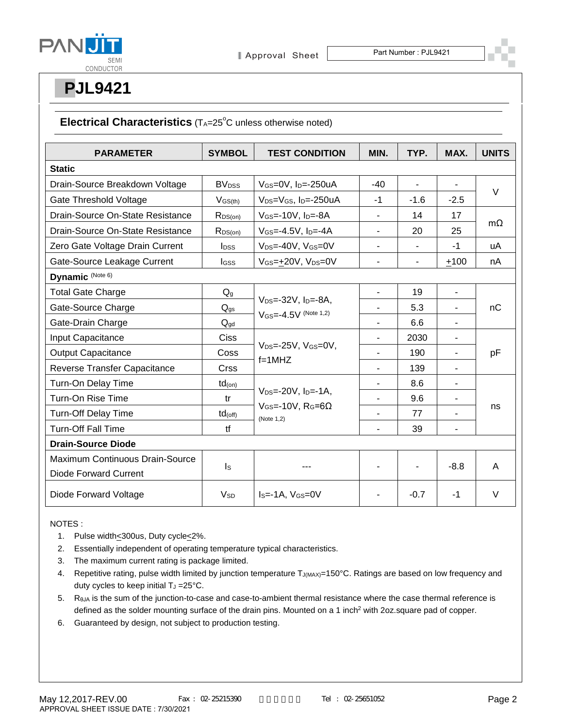



#### Electrical Characteristics (TA=25<sup>°</sup>C unless otherwise noted)

| <b>PARAMETER</b>                 | <b>SYMBOL</b>            | <b>TEST CONDITION</b>                                                                                  | MIN.                     | TYP.                     | MAX.           | <b>UNITS</b> |
|----------------------------------|--------------------------|--------------------------------------------------------------------------------------------------------|--------------------------|--------------------------|----------------|--------------|
| <b>Static</b>                    |                          |                                                                                                        |                          |                          |                |              |
| Drain-Source Breakdown Voltage   | <b>BV</b> <sub>DSS</sub> | VGS=0V, ID=-250uA                                                                                      | $-40$                    | $\overline{\phantom{0}}$ |                | $\vee$       |
| Gate Threshold Voltage           | $V$ GS(th)               | V <sub>DS</sub> =V <sub>GS</sub> , I <sub>D</sub> =-250uA                                              | $-1$                     | $-1.6$                   | $-2.5$         |              |
| Drain-Source On-State Resistance | $R_{DS(on)}$             | $V$ GS=-10V, $I_D$ =-8A                                                                                | $\overline{\phantom{0}}$ | 14                       | 17             |              |
| Drain-Source On-State Resistance | $R_{DS(on)}$             | $V$ GS=-4.5V, I <sub>D</sub> =-4A                                                                      | $\blacksquare$           | 20                       | 25             | $m\Omega$    |
| Zero Gate Voltage Drain Current  | <b>l</b> <sub>pss</sub>  | V <sub>DS</sub> =-40V, V <sub>GS</sub> =0V                                                             |                          |                          | $-1$           | uA           |
| Gate-Source Leakage Current      | <b>l</b> gss             | VGS=+20V, VDS=0V                                                                                       |                          | $\overline{\phantom{m}}$ | $+100$         | nA           |
| Dynamic (Note 6)                 |                          |                                                                                                        |                          |                          |                |              |
| <b>Total Gate Charge</b>         | $Q_g$                    | $V_{DS} = -32V$ , $I_{D} = -8A$ ,<br>$V_{GS} = -4.5V$ (Note 1,2)                                       | $\blacksquare$           | 19                       | $\blacksquare$ | nС           |
| Gate-Source Charge               | $\mathsf{Q}_{\text{gs}}$ |                                                                                                        | $\blacksquare$           | 5.3                      | $\blacksquare$ |              |
| Gate-Drain Charge                | $Q_{\text{gd}}$          |                                                                                                        | $\blacksquare$           | 6.6                      | $\blacksquare$ |              |
| <b>Input Capacitance</b>         | Ciss                     | V <sub>DS</sub> =-25V, VGS=0V,<br>$f=1$ MHZ                                                            |                          | 2030                     | $\blacksquare$ | pF           |
| <b>Output Capacitance</b>        | Coss                     |                                                                                                        |                          | 190                      | $\overline{a}$ |              |
| Reverse Transfer Capacitance     | Crss                     |                                                                                                        |                          | 139                      | $\blacksquare$ |              |
| Turn-On Delay Time               | $td_{(on)}$              | $V_{DS} = -20V$ , $I_{D} = -1A$ ,<br>$V$ <sub>GS</sub> =-10V, R <sub>G</sub> =6 $\Omega$<br>(Note 1,2) |                          | 8.6                      |                |              |
| Turn-On Rise Time                | tr                       |                                                                                                        |                          | 9.6                      | $\blacksquare$ | ns           |
| <b>Turn-Off Delay Time</b>       | $td_{(off)}$             |                                                                                                        | ٠                        | 77                       |                |              |
| <b>Turn-Off Fall Time</b>        | tf                       |                                                                                                        | $\blacksquare$           | 39                       | $\blacksquare$ |              |
| <b>Drain-Source Diode</b>        |                          |                                                                                                        |                          |                          |                |              |
| Maximum Continuous Drain-Source  | $\mathsf{I}_\mathsf{S}$  |                                                                                                        |                          |                          | $-8.8$         | A            |
| Diode Forward Current            |                          |                                                                                                        |                          |                          |                |              |
| Diode Forward Voltage            | <b>V</b> <sub>sp</sub>   | $Is = -1A$ , $V_{GS} = 0V$                                                                             |                          | $-0.7$                   | $-1$           | $\vee$       |

NOTES :

- 1. Pulse width<300us, Duty cycle<2%.
- 2. Essentially independent of operating temperature typical characteristics.
- 3. The maximum current rating is package limited.
- 4. Repetitive rating, pulse width limited by junction temperature TJ(MAX)=150°C. Ratings are based on low frequency and duty cycles to keep initial  $T_J = 25^{\circ}C$ .
- 5.  $R<sub>θJA</sub>$  is the sum of the junction-to-case and case-to-ambient thermal resistance where the case thermal reference is defined as the solder mounting surface of the drain pins. Mounted on a 1 inch<sup>2</sup> with 2oz.square pad of copper.
- 6. Guaranteed by design, not subject to production testing.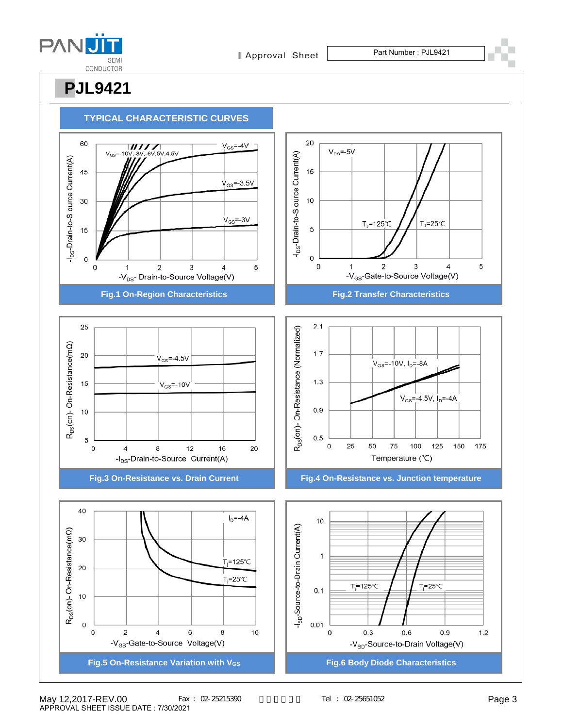

Approval Sheet Part Number : PJL9421

**PJL9421**



May 12,2017-REV.00 Fax: 02-25215390 Tel: 02-25651052 Page 3 APPROVAL SHEET ISSUE DATE : 7/30/2021

Tel : 02-25651052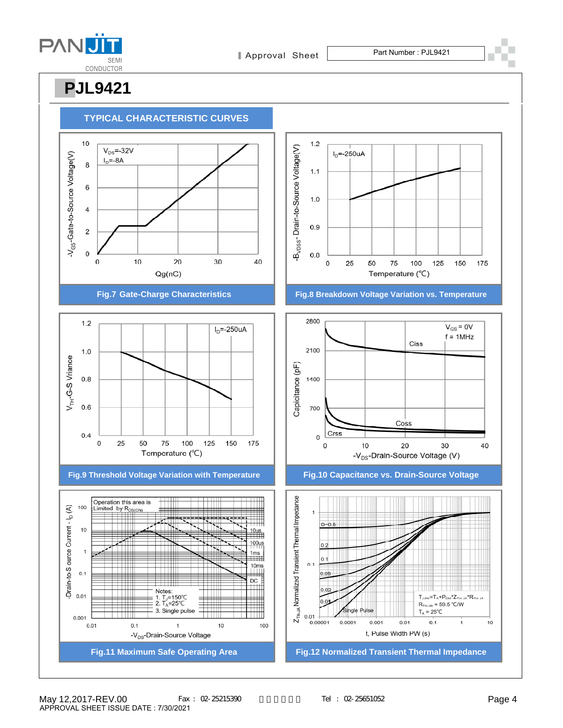

Approval Sheet Part Number : PJL9421

**PJL9421**



TTTTTTT



 $0.1$ 

 $\mathbf{1}$ 

-V<sub>DS</sub>-Drain-Source Voltage

 $10$ 

100

 $0.01$ 

175

40

150

 $V_{GS}$  = 0V

 $f = 1MHz$ 

30

125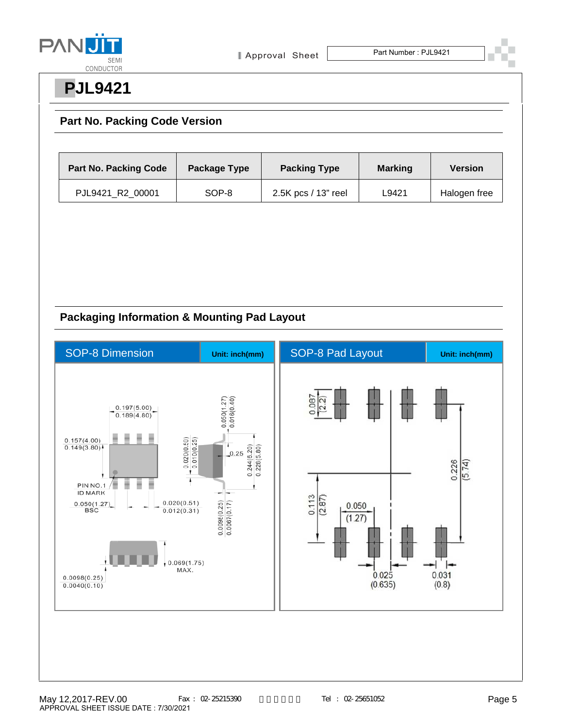

### **Part No. Packing Code Version**

| <b>Part No. Packing Code</b> | Package Type | <b>Packing Type</b><br><b>Marking</b> |       | <b>Version</b> |
|------------------------------|--------------|---------------------------------------|-------|----------------|
| PJL9421 R2 00001             | SOP-8        | 2.5K pcs / 13" reel                   | L9421 | Halogen free   |

### **Packaging Information & Mounting Pad Layout**